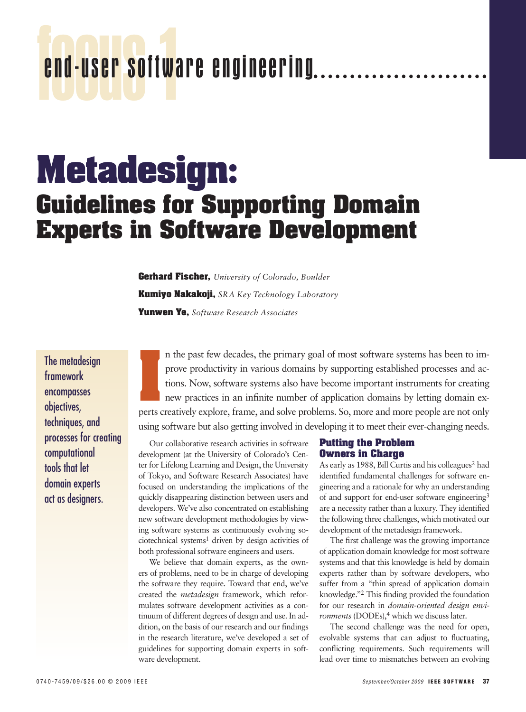**fold-user software** <mark>end-user so</mark>ftware engineering

# **Metadesign: Guidelines for Supporting Domain Experts in Software Development**

**Gerhard Fischer,** *University of Colorado, Boulder* **Kumiyo Nakakoji,** *SRA Key Technology Laboratory* **Yunwen Ye,** *Software Research Associates*

The metadesign framework encompasses objectives, techniques, and processes for creating computational tools that let domain experts act as designers.

If the past few decades, the primary goal of most sortware systems has been to improve productivity in various domains by supporting established processes and actions. Now, software systems also have become important instr n the past few decades, the primary goal of most software systems has been to improve productivity in various domains by supporting established processes and actions. Now, software systems also have become important instruments for creating new practices in an infinite number of application domains by letting domain exusing software but also getting involved in developing it to meet their ever-changing needs.

Our collaborative research activities in software development (at the University of Colorado's Center for Lifelong Learning and Design, the University of Tokyo, and Software Research Associates) have focused on understanding the implications of the quickly disappearing distinction between users and developers. We've also concentrated on establishing new software development methodologies by viewing software systems as continuously evolving sociotechnical systems<sup>1</sup> driven by design activities of both professional software engineers and users.

We believe that domain experts, as the owners of problems, need to be in charge of developing the software they require. Toward that end, we've created the *metadesign* framework, which reformulates software development activities as a continuum of different degrees of design and use. In addition, on the basis of our research and our findings in the research literature, we've developed a set of guidelines for supporting domain experts in software development.

### **Putting the Problem Owners in Charge**

As early as 1988, Bill Curtis and his colleagues<sup>2</sup> had identified fundamental challenges for software engineering and a rationale for why an understanding of and support for end-user software engineering<sup>3</sup> are a necessity rather than a luxury. They identified the following three challenges, which motivated our development of the metadesign framework.

The first challenge was the growing importance of application domain knowledge for most software systems and that this knowledge is held by domain experts rather than by software developers, who suffer from a "thin spread of application domain knowledge."2 This finding provided the foundation for our research in *domain-oriented design environments* (DODEs),<sup>4</sup> which we discuss later.

The second challenge was the need for open, evolvable systems that can adjust to fluctuating, conflicting requirements. Such requirements will lead over time to mismatches between an evolving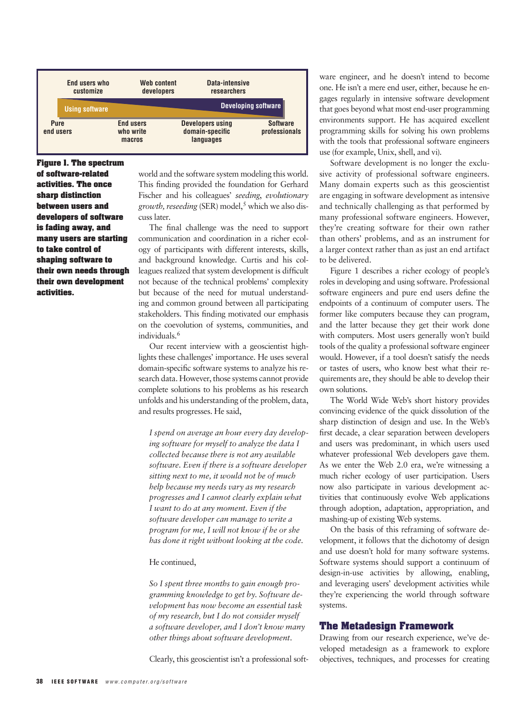| End users who<br>customize | <b>Web content</b><br>developers        | Data-intensive<br>researchers                           |                                  |
|----------------------------|-----------------------------------------|---------------------------------------------------------|----------------------------------|
| Using software             |                                         | <b>Developing software</b>                              |                                  |
| Pure<br>end users          | <b>End users</b><br>who write<br>macros | <b>Developers using</b><br>domain-specific<br>languages | <b>Software</b><br>professionals |

#### **Figure 1. The spectrum**

**of software-related activities. The once sharp distinction between users and developers of software is fading away, and many users are starting to take control of shaping software to their own needs through their own development activities.**

world and the software system modeling this world. This finding provided the foundation for Gerhard Fischer and his colleagues' *seeding*, *evolutionary growth, reseeding* (SER) model,<sup>5</sup> which we also discuss later.

The final challenge was the need to support communication and coordination in a richer ecology of participants with different interests, skills, and background knowledge. Curtis and his colleagues realized that system development is difficult not because of the technical problems' complexity but because of the need for mutual understanding and common ground between all participating stakeholders. This finding motivated our emphasis on the coevolution of systems, communities, and individuals.6

Our recent interview with a geoscientist highlights these challenges' importance. He uses several domain-specific software systems to analyze his research data. However, those systems cannot provide complete solutions to his problems as his research unfolds and his understanding of the problem, data, and results progresses. He said,

*I spend on average an hour every day developing software for myself to analyze the data I collected because there is not any available software. Even if there is a software developer sitting next to me, it would not be of much help because my needs vary as my research progresses and I cannot clearly explain what I want to do at any moment. Even if the software developer can manage to write a program for me, I will not know if he or she has done it right without looking at the code.*

### He continued,

*So I spent three months to gain enough programming knowledge to get by. Software development has now become an essential task of my research, but I do not consider myself a software developer, and I don't know many other things about software development.*

Clearly, this geoscientist isn't a professional soft-

ware engineer, and he doesn't intend to become one. He isn't a mere end user, either, because he engages regularly in intensive software development that goes beyond what most end-user programming environments support. He has acquired excellent programming skills for solving his own problems with the tools that professional software engineers use (for example, Unix, shell, and vi).

Software development is no longer the exclusive activity of professional software engineers. Many domain experts such as this geoscientist are engaging in software development as intensive and technically challenging as that performed by many professional software engineers. However, they're creating software for their own rather than others' problems, and as an instrument for a larger context rather than as just an end artifact to be delivered.

Figure 1 describes a richer ecology of people's roles in developing and using software. Professional software engineers and pure end users define the endpoints of a continuum of computer users. The former like computers because they can program, and the latter because they get their work done with computers. Most users generally won't build tools of the quality a professional software engineer would. However, if a tool doesn't satisfy the needs or tastes of users, who know best what their requirements are, they should be able to develop their own solutions.

The World Wide Web's short history provides convincing evidence of the quick dissolution of the sharp distinction of design and use. In the Web's first decade, a clear separation between developers and users was predominant, in which users used whatever professional Web developers gave them. As we enter the Web 2.0 era, we're witnessing a much richer ecology of user participation. Users now also participate in various development activities that continuously evolve Web applications through adoption, adaptation, appropriation, and mashing-up of existing Web systems.

On the basis of this reframing of software development, it follows that the dichotomy of design and use doesn't hold for many software systems. Software systems should support a continuum of design-in-use activities by allowing, enabling, and leveraging users' development activities while they're experiencing the world through software systems.

### **The Metadesign Framework**

Drawing from our research experience, we've developed metadesign as a framework to explore objectives, techniques, and processes for creating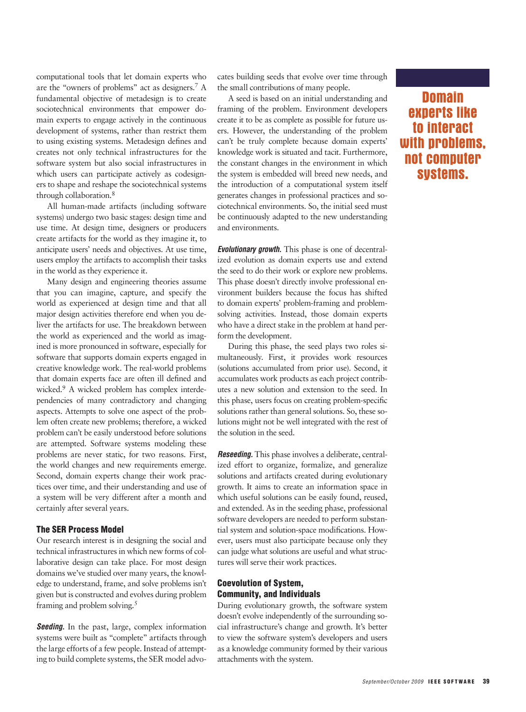computational tools that let domain experts who are the "owners of problems" act as designers.7 A fundamental objective of metadesign is to create sociotechnical environments that empower domain experts to engage actively in the continuous development of systems, rather than restrict them to using existing systems. Metadesign defines and creates not only technical infrastructures for the software system but also social infrastructures in which users can participate actively as codesigners to shape and reshape the sociotechnical systems through collaboration.<sup>8</sup>

All human-made artifacts (including software systems) undergo two basic stages: design time and use time. At design time, designers or producers create artifacts for the world as they imagine it, to anticipate users' needs and objectives. At use time, users employ the artifacts to accomplish their tasks in the world as they experience it.

Many design and engineering theories assume that you can imagine, capture, and specify the world as experienced at design time and that all major design activities therefore end when you deliver the artifacts for use. The breakdown between the world as experienced and the world as imagined is more pronounced in software, especially for software that supports domain experts engaged in creative knowledge work. The real-world problems that domain experts face are often ill defined and wicked.9 A wicked problem has complex interdependencies of many contradictory and changing aspects. Attempts to solve one aspect of the problem often create new problems; therefore, a wicked problem can't be easily understood before solutions are attempted. Software systems modeling these problems are never static, for two reasons. First, the world changes and new requirements emerge. Second, domain experts change their work practices over time, and their understanding and use of a system will be very different after a month and certainly after several years.

### The SER Process Model

Our research interest is in designing the social and technical infrastructures in which new forms of collaborative design can take place. For most design domains we've studied over many years, the knowledge to understand, frame, and solve problems isn't given but is constructed and evolves during problem framing and problem solving.5

**Seeding.** In the past, large, complex information systems were built as "complete" artifacts through the large efforts of a few people. Instead of attempting to build complete systems, the SER model advocates building seeds that evolve over time through the small contributions of many people.

A seed is based on an initial understanding and framing of the problem. Environment developers create it to be as complete as possible for future users. However, the understanding of the problem can't be truly complete because domain experts' knowledge work is situated and tacit. Furthermore, the constant changes in the environment in which the system is embedded will breed new needs, and the introduction of a computational system itself generates changes in professional practices and sociotechnical environments. So, the initial seed must be continuously adapted to the new understanding and environments.

*Evolutionary growth.* This phase is one of decentralized evolution as domain experts use and extend the seed to do their work or explore new problems. This phase doesn't directly involve professional environment builders because the focus has shifted to domain experts' problem-framing and problemsolving activities. Instead, those domain experts who have a direct stake in the problem at hand perform the development.

During this phase, the seed plays two roles simultaneously. First, it provides work resources (solutions accumulated from prior use). Second, it accumulates work products as each project contributes a new solution and extension to the seed. In this phase, users focus on creating problem-specific solutions rather than general solutions. So, these solutions might not be well integrated with the rest of the solution in the seed.

*Reseeding.* This phase involves a deliberate, centralized effort to organize, formalize, and generalize solutions and artifacts created during evolutionary growth. It aims to create an information space in which useful solutions can be easily found, reused, and extended. As in the seeding phase, professional software developers are needed to perform substantial system and solution-space modifications. However, users must also participate because only they can judge what solutions are useful and what structures will serve their work practices.

### Coevolution of System, Community, and Individuals

During evolutionary growth, the software system doesn't evolve independently of the surrounding social infrastructure's change and growth. It's better to view the software system's developers and users as a knowledge community formed by their various attachments with the system.

**Domain experts like to interact with problems, not computer systems.**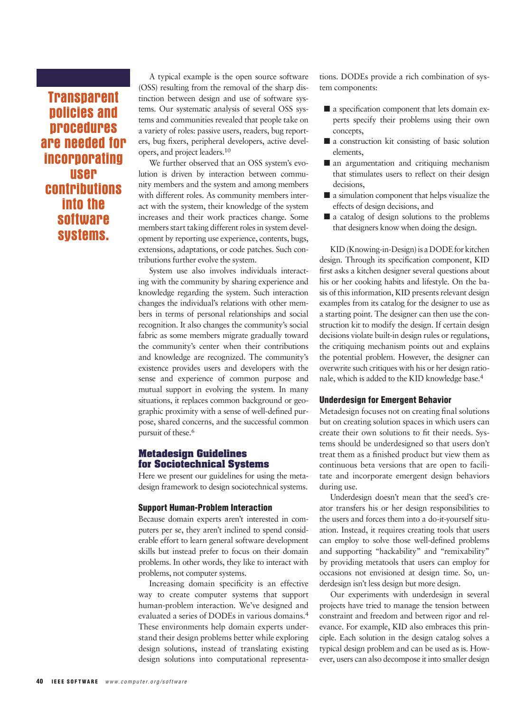### **Transparent policies and procedures are needed for incorporating user contributions into the software systems.**

A typical example is the open source software (OSS) resulting from the removal of the sharp distinction between design and use of software systems. Our systematic analysis of several OSS systems and communities revealed that people take on a variety of roles: passive users, readers, bug reporters, bug fixers, peripheral developers, active developers, and project leaders.10

We further observed that an OSS system's evolution is driven by interaction between community members and the system and among members with different roles. As community members interact with the system, their knowledge of the system increases and their work practices change. Some members start taking different roles in system development by reporting use experience, contents, bugs, extensions, adaptations, or code patches. Such contributions further evolve the system.

System use also involves individuals interacting with the community by sharing experience and knowledge regarding the system. Such interaction changes the individual's relations with other members in terms of personal relationships and social recognition. It also changes the community's social fabric as some members migrate gradually toward the community's center when their contributions and knowledge are recognized. The community's existence provides users and developers with the sense and experience of common purpose and mutual support in evolving the system. In many situations, it replaces common background or geographic proximity with a sense of well-defined purpose, shared concerns, and the successful common pursuit of these.<sup>6</sup>

### **Metadesign Guidelines for Sociotechnical Systems**

Here we present our guidelines for using the metadesign framework to design sociotechnical systems.

### Support Human-Problem Interaction

Because domain experts aren't interested in computers per se, they aren't inclined to spend considerable effort to learn general software development skills but instead prefer to focus on their domain problems. In other words, they like to interact with problems, not computer systems.

Increasing domain specificity is an effective way to create computer systems that support human-problem interaction. We've designed and evaluated a series of DODEs in various domains.4 These environments help domain experts understand their design problems better while exploring design solutions, instead of translating existing design solutions into computational representations. DODEs provide a rich combination of system components:

- a specification component that lets domain experts specify their problems using their own concepts,
- a construction kit consisting of basic solution elements,
- an argumentation and critiquing mechanism that stimulates users to reflect on their design decisions,
- a simulation component that helps visualize the effects of design decisions, and
- a catalog of design solutions to the problems that designers know when doing the design.

KID (Knowing-in-Design) is a DODE for kitchen design. Through its specification component, KID first asks a kitchen designer several questions about his or her cooking habits and lifestyle. On the basis of this information, KID presents relevant design examples from its catalog for the designer to use as a starting point. The designer can then use the construction kit to modify the design. If certain design decisions violate built-in design rules or regulations, the critiquing mechanism points out and explains the potential problem. However, the designer can overwrite such critiques with his or her design rationale, which is added to the KID knowledge base.4

### Underdesign for Emergent Behavior

Metadesign focuses not on creating final solutions but on creating solution spaces in which users can create their own solutions to fit their needs. Systems should be underdesigned so that users don't treat them as a finished product but view them as continuous beta versions that are open to facilitate and incorporate emergent design behaviors during use.

Underdesign doesn't mean that the seed's creator transfers his or her design responsibilities to the users and forces them into a do-it-yourself situation. Instead, it requires creating tools that users can employ to solve those well-defined problems and supporting "hackability" and "remixability" by providing metatools that users can employ for occasions not envisioned at design time. So, underdesign isn't less design but more design.

Our experiments with underdesign in several projects have tried to manage the tension between constraint and freedom and between rigor and relevance. For example, KID also embraces this principle. Each solution in the design catalog solves a typical design problem and can be used as is. However, users can also decompose it into smaller design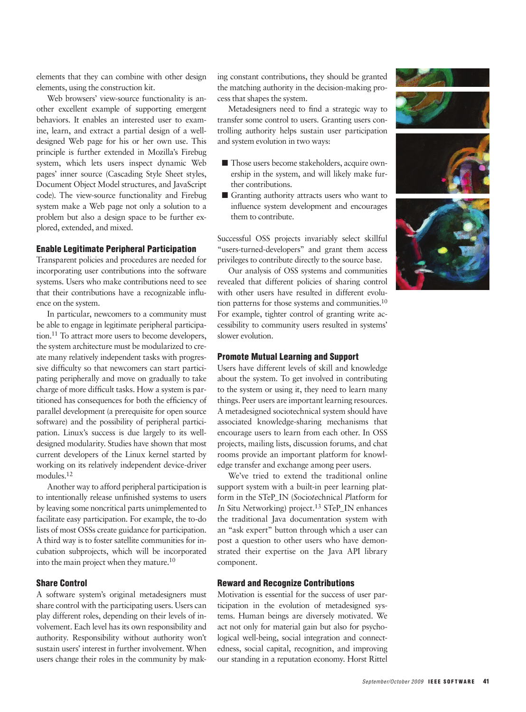elements that they can combine with other design elements, using the construction kit.

Web browsers' view-source functionality is another excellent example of supporting emergent behaviors. It enables an interested user to examine, learn, and extract a partial design of a welldesigned Web page for his or her own use. This principle is further extended in Mozilla's Firebug system, which lets users inspect dynamic Web pages' inner source (Cascading Style Sheet styles, Document Object Model structures, and JavaScript code). The view-source functionality and Firebug system make a Web page not only a solution to a problem but also a design space to be further explored, extended, and mixed.

### Enable Legitimate Peripheral Participation

Transparent policies and procedures are needed for incorporating user contributions into the software systems. Users who make contributions need to see that their contributions have a recognizable influence on the system.

In particular, newcomers to a community must be able to engage in legitimate peripheral participation.11 To attract more users to become developers, the system architecture must be modularized to create many relatively independent tasks with progressive difficulty so that newcomers can start participating peripherally and move on gradually to take charge of more difficult tasks. How a system is partitioned has consequences for both the efficiency of parallel development (a prerequisite for open source software) and the possibility of peripheral participation. Linux's success is due largely to its welldesigned modularity. Studies have shown that most current developers of the Linux kernel started by working on its relatively independent device-driver modules.12

Another way to afford peripheral participation is to intentionally release unfinished systems to users by leaving some noncritical parts unimplemented to facilitate easy participation. For example, the to-do lists of most OSSs create guidance for participation. A third way is to foster satellite communities for incubation subprojects, which will be incorporated into the main project when they mature.10

### Share Control

A software system's original metadesigners must share control with the participating users. Users can play different roles, depending on their levels of involvement. Each level has its own responsibility and authority. Responsibility without authority won't sustain users' interest in further involvement. When users change their roles in the community by making constant contributions, they should be granted the matching authority in the decision-making process that shapes the system.

Metadesigners need to find a strategic way to transfer some control to users. Granting users controlling authority helps sustain user participation and system evolution in two ways:

- Those users become stakeholders, acquire ownership in the system, and will likely make further contributions.
- Granting authority attracts users who want to influence system development and encourages them to contribute.

Successful OSS projects invariably select skillful "users-turned-developers" and grant them access privileges to contribute directly to the source base.

Our analysis of OSS systems and communities revealed that different policies of sharing control with other users have resulted in different evolution patterns for those systems and communities.10 For example, tighter control of granting write accessibility to community users resulted in systems' slower evolution.

### Promote Mutual Learning and Support

Users have different levels of skill and knowledge about the system. To get involved in contributing to the system or using it, they need to learn many things. Peer users are important learning resources. A metadesigned sociotechnical system should have associated knowledge-sharing mechanisms that encourage users to learn from each other. In OSS projects, mailing lists, discussion forums, and chat rooms provide an important platform for knowledge transfer and exchange among peer users.

We've tried to extend the traditional online support system with a built-in peer learning platform in the STeP\_IN (*S*ocio*te*chnical *P*latform for *I*n Situ *N*etworking) project.13 STeP\_IN enhances the traditional Java documentation system with an "ask expert" button through which a user can post a question to other users who have demonstrated their expertise on the Java API library component.

### Reward and Recognize Contributions

Motivation is essential for the success of user participation in the evolution of metadesigned systems. Human beings are diversely motivated. We act not only for material gain but also for psychological well-being, social integration and connectedness, social capital, recognition, and improving our standing in a reputation economy. Horst Rittel







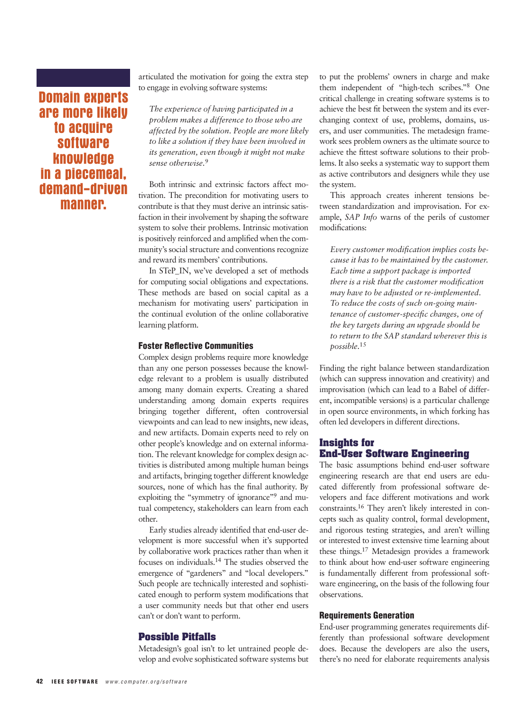### **Domain experts are more likely to acquire software knowledge in a piecemeal, demand-driven manner.**

articulated the motivation for going the extra step to engage in evolving software systems:

*The experience of having participated in a problem makes a difference to those who are affected by the solution. People are more likely to like a solution if they have been involved in its generation, even though it might not make sense otherwise.*<sup>9</sup>

Both intrinsic and extrinsic factors affect motivation. The precondition for motivating users to contribute is that they must derive an intrinsic satisfaction in their involvement by shaping the software system to solve their problems. Intrinsic motivation is positively reinforced and amplified when the community's social structure and conventions recognize and reward its members' contributions.

In STeP\_IN, we've developed a set of methods for computing social obligations and expectations. These methods are based on social capital as a mechanism for motivating users' participation in the continual evolution of the online collaborative learning platform.

### Foster Reflective Communities

Complex design problems require more knowledge than any one person possesses because the knowledge relevant to a problem is usually distributed among many domain experts. Creating a shared understanding among domain experts requires bringing together different, often controversial viewpoints and can lead to new insights, new ideas, and new artifacts. Domain experts need to rely on other people's knowledge and on external information. The relevant knowledge for complex design activities is distributed among multiple human beings and artifacts, bringing together different knowledge sources, none of which has the final authority. By exploiting the "symmetry of ignorance"<sup>9</sup> and mutual competency, stakeholders can learn from each other.

Early studies already identified that end-user development is more successful when it's supported by collaborative work practices rather than when it focuses on individuals.14 The studies observed the emergence of "gardeners" and "local developers." Such people are technically interested and sophisticated enough to perform system modifications that a user community needs but that other end users can't or don't want to perform.

### **Possible Pitfalls**

Metadesign's goal isn't to let untrained people develop and evolve sophisticated software systems but to put the problems' owners in charge and make them independent of "high-tech scribes."8 One critical challenge in creating software systems is to achieve the best fit between the system and its everchanging context of use, problems, domains, users, and user communities. The metadesign framework sees problem owners as the ultimate source to achieve the fittest software solutions to their problems. It also seeks a systematic way to support them as active contributors and designers while they use the system.

This approach creates inherent tensions between standardization and improvisation. For example, *SAP Info* warns of the perils of customer modifications:

*Every customer modification implies costs because it has to be maintained by the customer. Each time a support package is imported there is a risk that the customer modification may have to be adjusted or re-implemented. To reduce the costs of such on-going maintenance of customer-specific changes, one of the key targets during an upgrade should be to return to the SAP standard wherever this is possible.*<sup>15</sup>

Finding the right balance between standardization (which can suppress innovation and creativity) and improvisation (which can lead to a Babel of different, incompatible versions) is a particular challenge in open source environments, in which forking has often led developers in different directions.

### **Insights for End-User Software Engineering**

The basic assumptions behind end-user software engineering research are that end users are educated differently from professional software developers and face different motivations and work constraints.16 They aren't likely interested in concepts such as quality control, formal development, and rigorous testing strategies, and aren't willing or interested to invest extensive time learning about these things.17 Metadesign provides a framework to think about how end-user software engineering is fundamentally different from professional software engineering, on the basis of the following four observations.

### Requirements Generation

End-user programming generates requirements differently than professional software development does. Because the developers are also the users, there's no need for elaborate requirements analysis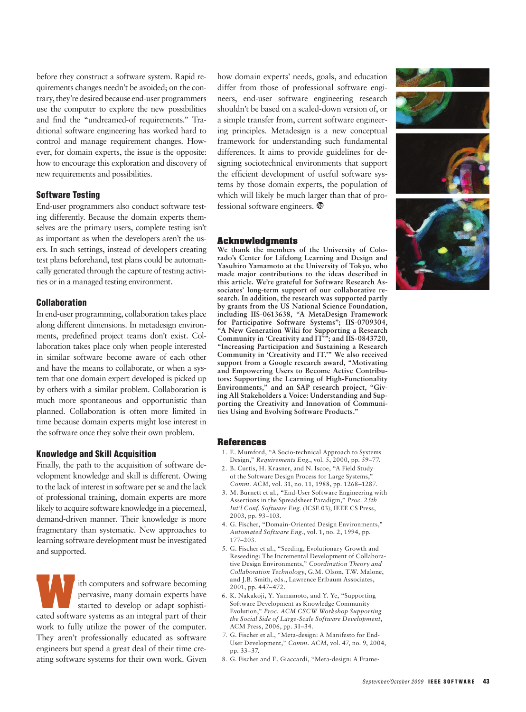before they construct a software system. Rapid requirements changes needn't be avoided; on the contrary, they're desired because end-user programmers use the computer to explore the new possibilities and find the "undreamed-of requirements." Traditional software engineering has worked hard to control and manage requirement changes. However, for domain experts, the issue is the opposite: how to encourage this exploration and discovery of new requirements and possibilities.

### Software Testing

End-user programmers also conduct software testing differently. Because the domain experts themselves are the primary users, complete testing isn't as important as when the developers aren't the users. In such settings, instead of developers creating test plans beforehand, test plans could be automatically generated through the capture of testing activities or in a managed testing environment.

### Collaboration

In end-user programming, collaboration takes place along different dimensions. In metadesign environments, predefined project teams don't exist. Collaboration takes place only when people interested in similar software become aware of each other and have the means to collaborate, or when a system that one domain expert developed is picked up by others with a similar problem. Collaboration is much more spontaneous and opportunistic than planned. Collaboration is often more limited in time because domain experts might lose interest in the software once they solve their own problem.

### Knowledge and Skill Acquisition

Finally, the path to the acquisition of software development knowledge and skill is different. Owing to the lack of interest in software per se and the lack of professional training, domain experts are more likely to acquire software knowledge in a piecemeal, demand-driven manner. Their knowledge is more fragmentary than systematic. New approaches to learning software development must be investigated and supported.

Ith computers and software becoming<br>pervasive, many domain experts have<br>started to develop or adapt sophisticated<br>software systems as an integral part of their pervasive, many domain experts have started to develop or adapt sophisticated software systems as an integral part of their work to fully utilize the power of the computer. They aren't professionally educated as software engineers but spend a great deal of their time creating software systems for their own work. Given

how domain experts' needs, goals, and education differ from those of professional software engineers, end-user software engineering research shouldn't be based on a scaled-down version of, or a simple transfer from, current software engineering principles. Metadesign is a new conceptual framework for understanding such fundamental differences. It aims to provide guidelines for designing sociotechnical environments that support the efficient development of useful software systems by those domain experts, the population of which will likely be much larger than that of professional software engineers.  $\mathcal{D}$ 

#### **Acknowledgments**

**We thank the members of the University of Colorado's Center for Lifelong Learning and Design and Yasuhiro Yamamoto at the University of Tokyo, who made major contributions to the ideas described in this article. We're grateful for Software Research Associates' long-term support of our collaborative research. In addition, the research was supported partly by grants from the US National Science Foundation, including IIS-0613638, "A MetaDesign Framework for Participative Software Systems"; IIS-0709304, "A New Generation Wiki for Supporting a Research Community in 'Creativity and IT'"; and IIS-0843720, "Increasing Participation and Sustaining a Research Community in 'Creativity and IT.'" We also received support from a Google research award, "Motivating and Empowering Users to Become Active Contributors: Supporting the Learning of High-Functionality Environments," and an SAP research project, "Giving All Stakeholders a Voice: Understanding and Supporting the Creativity and Innovation of Communities Using and Evolving Software Products."**

#### **References**

- 1. E. Mumford, "A Socio-technical Approach to Systems Design," *Requirements Eng.*, vol. 5, 2000, pp. 59–77.
- 2. B. Curtis, H. Krasner, and N. Iscoe, "A Field Study of the Software Design Process for Large Systems," *Comm. ACM*, vol. 31, no. 11, 1988, pp. 1268–1287.
- 3. M. Burnett et al., "End-User Software Engineering with Assertions in the Spreadsheet Paradigm," *Proc. 25th Int'l Conf. Software Eng.* (ICSE 03), IEEE CS Press, 2003, pp. 93–103.
- 4. G. Fischer, "Domain-Oriented Design Environments," *Automated Software Eng.*, vol. 1, no. 2, 1994, pp. 177–203.
- 5. G. Fischer et al., "Seeding, Evolutionary Growth and Reseeding: The Incremental Development of Collaborative Design Environments," *Coordination Theory and Collaboration Technology*, G.M. Olson, T.W. Malone, and J.B. Smith, eds., Lawrence Erlbaum Associates, 2001, pp. 447–472.
- 6. K. Nakakoji, Y. Yamamoto, and Y. Ye, "Supporting Software Development as Knowledge Community Evolution," *Proc. ACM CSCW Workshop Supporting the Social Side of Large-Scale Software Development*, ACM Press, 2006, pp. 31–34.
- 7. G. Fischer et al., "Meta-design: A Manifesto for End-User Development," *Comm. ACM*, vol. 47, no. 9, 2004, pp. 33–37.
- 8. G. Fischer and E. Giaccardi, "Meta-design: A Frame-